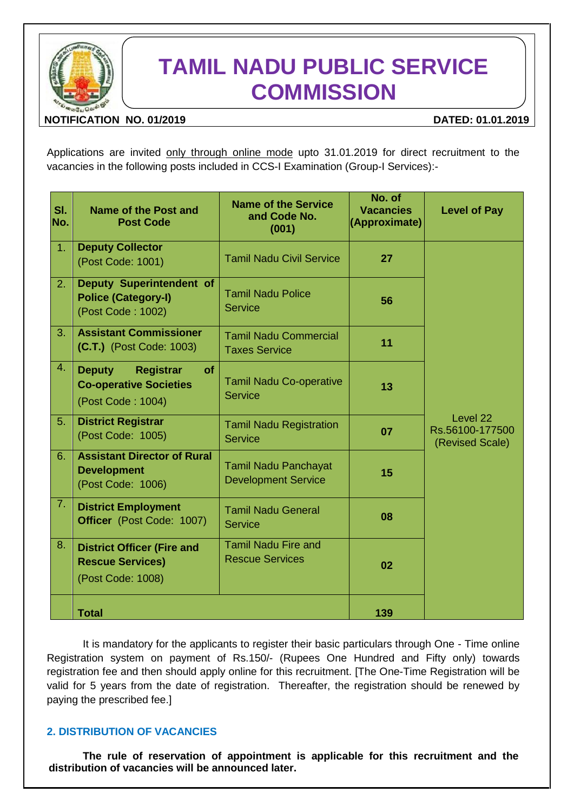

# **TAMIL NADU PUBLIC SERVICE COMMISSION**

**NOTIFICATION NO. 01/2019 DATED: 01.01.2019**

Applications are invited only through online mode upto 31.01.2019 for direct recruitment to the vacancies in the following posts included in CCS-I Examination (Group-I Services):-

| SI.<br>No. | <b>Name of the Post and</b><br><b>Post Code</b>                                                      | <b>Name of the Service</b><br>and Code No.<br>(001)       | No. of<br><b>Vacancies</b><br>(Approximate) | <b>Level of Pay</b>                            |
|------------|------------------------------------------------------------------------------------------------------|-----------------------------------------------------------|---------------------------------------------|------------------------------------------------|
| 1.         | <b>Deputy Collector</b><br>(Post Code: 1001)                                                         | <b>Tamil Nadu Civil Service</b>                           | 27                                          |                                                |
| 2.         | Deputy Superintendent of<br><b>Police (Category-I)</b><br>(Post Code: 1002)                          | <b>Tamil Nadu Police</b><br><b>Service</b>                | 56                                          |                                                |
| 3.         | <b>Assistant Commissioner</b><br>(C.T.) (Post Code: 1003)                                            | <b>Tamil Nadu Commercial</b><br><b>Taxes Service</b>      | 11                                          |                                                |
| 4.         | <b>Deputy</b><br><b>Registrar</b><br><b>of</b><br><b>Co-operative Societies</b><br>(Post Code: 1004) | <b>Tamil Nadu Co-operative</b><br><b>Service</b>          | 13                                          |                                                |
| 5.         | <b>District Registrar</b><br>(Post Code: 1005)                                                       | <b>Tamil Nadu Registration</b><br><b>Service</b>          | 07                                          | Level 22<br>Rs.56100-177500<br>(Revised Scale) |
| 6.         | <b>Assistant Director of Rural</b><br><b>Development</b><br>(Post Code: 1006)                        | <b>Tamil Nadu Panchayat</b><br><b>Development Service</b> | 15                                          |                                                |
| 7.         | <b>District Employment</b><br>Officer (Post Code: 1007)                                              | <b>Tamil Nadu General</b><br><b>Service</b>               | 08                                          |                                                |
| 8.         | <b>District Officer (Fire and</b><br><b>Rescue Services)</b><br>(Post Code: 1008)                    | <b>Tamil Nadu Fire and</b><br><b>Rescue Services</b>      | 02                                          |                                                |
|            | <b>Total</b>                                                                                         |                                                           | 139                                         |                                                |

It is mandatory for the applicants to register their basic particulars through One - Time online Registration system on payment of Rs.150/- (Rupees One Hundred and Fifty only) towards registration fee and then should apply online for this recruitment. [The One-Time Registration will be valid for 5 years from the date of registration. Thereafter, the registration should be renewed by paying the prescribed fee.]

## **2. DISTRIBUTION OF VACANCIES**

**The rule of reservation of appointment is applicable for this recruitment and the distribution of vacancies will be announced later.**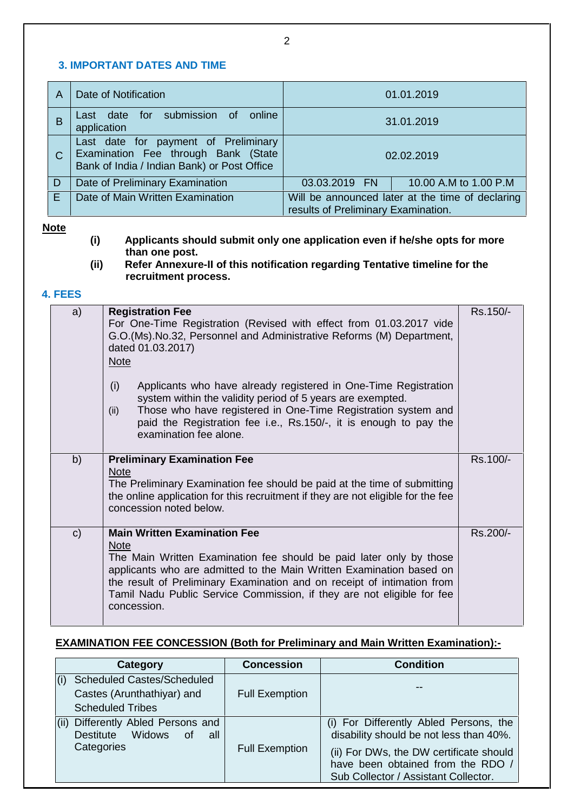## **3. IMPORTANT DATES AND TIME**

| Α | Date of Notification                                                                                                       |                                                                                         | 01.01.2019            |  |
|---|----------------------------------------------------------------------------------------------------------------------------|-----------------------------------------------------------------------------------------|-----------------------|--|
| В | Last date for submission of<br>online<br>application                                                                       |                                                                                         | 31.01.2019            |  |
| C | Last date for payment of Preliminary<br>Examination Fee through Bank (State<br>Bank of India / Indian Bank) or Post Office |                                                                                         | 02.02.2019            |  |
| D | Date of Preliminary Examination                                                                                            | 03.03.2019 FN                                                                           | 10.00 A.M to 1.00 P.M |  |
| Е | Date of Main Written Examination                                                                                           | Will be announced later at the time of declaring<br>results of Preliminary Examination. |                       |  |

# **Note**

- **(i) Applicants should submit only one application even if he/she opts for more than one post.**
- **(ii) Refer Annexure-II of this notification regarding Tentative timeline for the recruitment process.**

## **4. FEES**

| a)           | <b>Registration Fee</b><br>For One-Time Registration (Revised with effect from 01.03.2017 vide<br>G.O. (Ms). No.32, Personnel and Administrative Reforms (M) Department,<br>dated 01.03.2017)<br><b>Note</b><br>(i)<br>Applicants who have already registered in One-Time Registration<br>system within the validity period of 5 years are exempted.<br>Those who have registered in One-Time Registration system and<br>(ii)<br>paid the Registration fee i.e., Rs.150/-, it is enough to pay the<br>examination fee alone. | Rs.150/- |
|--------------|------------------------------------------------------------------------------------------------------------------------------------------------------------------------------------------------------------------------------------------------------------------------------------------------------------------------------------------------------------------------------------------------------------------------------------------------------------------------------------------------------------------------------|----------|
| b)           | <b>Preliminary Examination Fee</b><br><b>Note</b><br>The Preliminary Examination fee should be paid at the time of submitting<br>the online application for this recruitment if they are not eligible for the fee<br>concession noted below.                                                                                                                                                                                                                                                                                 | Rs.100/- |
| $\mathsf{C}$ | <b>Main Written Examination Fee</b><br><b>Note</b><br>The Main Written Examination fee should be paid later only by those<br>applicants who are admitted to the Main Written Examination based on<br>the result of Preliminary Examination and on receipt of intimation from<br>Tamil Nadu Public Service Commission, if they are not eligible for fee<br>concession.                                                                                                                                                        | Rs.200/- |

## **EXAMINATION FEE CONCESSION (Both for Preliminary and Main Written Examination):-**

| Category                                                                                          | <b>Concession</b>     | <b>Condition</b>                                                                                                                                                                                          |
|---------------------------------------------------------------------------------------------------|-----------------------|-----------------------------------------------------------------------------------------------------------------------------------------------------------------------------------------------------------|
| <b>Scheduled Castes/Scheduled</b><br>(i)<br>Castes (Arunthathiyar) and<br><b>Scheduled Tribes</b> | <b>Full Exemption</b> |                                                                                                                                                                                                           |
| Differently Abled Persons and<br>(ii)<br>Destitute Widows of<br>all<br>Categories                 | <b>Full Exemption</b> | (i) For Differently Abled Persons, the<br>disability should be not less than 40%.<br>(ii) For DWs, the DW certificate should<br>have been obtained from the RDO /<br>Sub Collector / Assistant Collector. |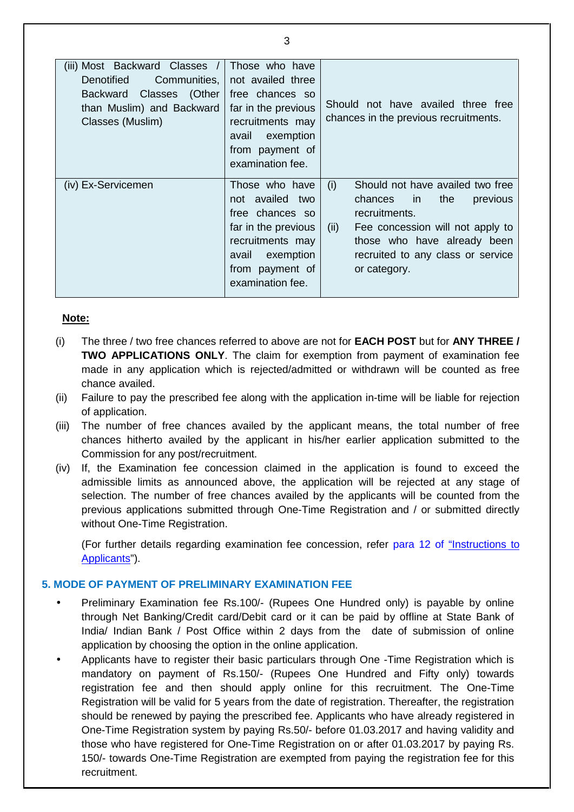| (iii) Most Backward Classes /<br>Denotified<br>Communities,<br>Classes (Other<br><b>Backward</b><br>than Muslim) and Backward<br>Classes (Muslim) | Those who have<br>not availed three<br>free chances so<br>far in the previous<br>recruitments may<br>exemption<br>avail<br>from payment of<br>examination fee. | Should not have availed three free<br>chances in the previous recruitments.                                                                                                                                               |
|---------------------------------------------------------------------------------------------------------------------------------------------------|----------------------------------------------------------------------------------------------------------------------------------------------------------------|---------------------------------------------------------------------------------------------------------------------------------------------------------------------------------------------------------------------------|
| (iv) Ex-Servicemen                                                                                                                                | Those who have<br>not availed two<br>free chances so<br>far in the previous<br>recruitments may<br>avail<br>exemption<br>from payment of<br>examination fee.   | (i)<br>Should not have availed two free<br>chances in<br>the<br>previous<br>recruitments.<br>Fee concession will not apply to<br>(ii)<br>those who have already been<br>recruited to any class or service<br>or category. |

#### **Note:**

- (i) The three / two free chances referred to above are not for **EACH POST** but for **ANY THREE / TWO APPLICATIONS ONLY**. The claim for exemption from payment of examination fee made in any application which is rejected/admitted or withdrawn will be counted as free chance availed.
- (ii) Failure to pay the prescribed fee along with the application in-time will be liable for rejection of application.
- (iii) The number of free chances availed by the applicant means, the total number of free chances hitherto availed by the applicant in his/her earlier application submitted to the Commission for any post/recruitment.
- (iv) If, the Examination fee concession claimed in the application is found to exceed the admissible limits as announced above, the application will be rejected at any stage of selection. The number of free chances availed by the applicants will be counted from the previous applications submitted through One-Time Registration and / or submitted directly without One-Time Registration.

(For further details regarding examination fee concession, refer para 12 of "Instructions to Applicants").

#### **5. MODE OF PAYMENT OF PRELIMINARY EXAMINATION FEE**

- Preliminary Examination fee Rs.100/- (Rupees One Hundred only) is payable by online through Net Banking/Credit card/Debit card or it can be paid by offline at State Bank of India/ Indian Bank / Post Office within 2 days from the date of submission of online application by choosing the option in the online application.
- Applicants have to register their basic particulars through One -Time Registration which is mandatory on payment of Rs.150/- (Rupees One Hundred and Fifty only) towards registration fee and then should apply online for this recruitment. The One-Time Registration will be valid for 5 years from the date of registration. Thereafter, the registration should be renewed by paying the prescribed fee. Applicants who have already registered in One-Time Registration system by paying Rs.50/- before 01.03.2017 and having validity and those who have registered for One-Time Registration on or after 01.03.2017 by paying Rs. 150/- towards One-Time Registration are exempted from paying the registration fee for this recruitment.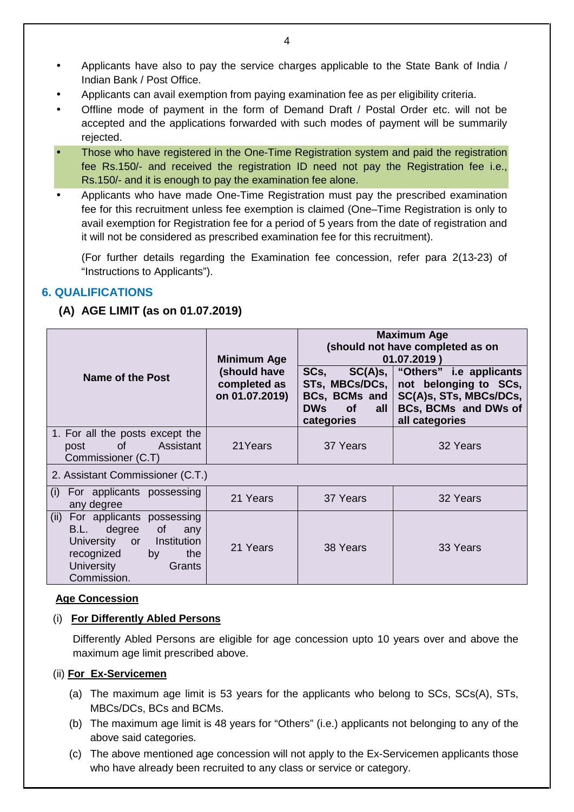- Applicants have also to pay the service charges applicable to the State Bank of India / Indian Bank / Post Office.
- Applicants can avail exemption from paying examination fee as per eligibility criteria.
- Offline mode of payment in the form of Demand Draft / Postal Order etc. will not be accepted and the applications forwarded with such modes of payment will be summarily rejected.
- Those who have registered in the One-Time Registration system and paid the registration fee Rs.150/- and received the registration ID need not pay the Registration fee i.e., Rs.150/- and it is enough to pay the examination fee alone.
- Applicants who have made One-Time Registration must pay the prescribed examination fee for this recruitment unless fee exemption is claimed (One–Time Registration is only to avail exemption for Registration fee for a period of 5 years from the date of registration and it will not be considered as prescribed examination fee for this recruitment).

(For further details regarding the Examination fee concession, refer para 2(13-23) of "Instructions to Applicants").

## **6. QUALIFICATIONS**

## **(A) AGE LIMIT (as on 01.07.2019)**

| <b>Name of the Post</b>                                                                                                                                   | <b>Minimum Age</b><br>(should have<br>completed as<br>on 01.07.2019) | SCs,<br>$SC(A)s$ ,<br>STs, MBCs/DCs,<br>BCs, BCMs and<br>DWs of all<br>categories | <b>Maximum Age</b><br>(should not have completed as on<br>01.07.2019)<br>"Others" i.e applicants<br>not belonging to SCs,<br>SC(A)s, STs, MBCs/DCs,<br><b>BCs, BCMs and DWs of</b><br>all categories |
|-----------------------------------------------------------------------------------------------------------------------------------------------------------|----------------------------------------------------------------------|-----------------------------------------------------------------------------------|------------------------------------------------------------------------------------------------------------------------------------------------------------------------------------------------------|
| 1. For all the posts except the<br>of Assistant<br>post<br>Commissioner (C.T)                                                                             | 21 Years                                                             | 37 Years                                                                          | 32 Years                                                                                                                                                                                             |
| 2. Assistant Commissioner (C.T.)                                                                                                                          |                                                                      |                                                                                   |                                                                                                                                                                                                      |
| For applicants possessing<br>(1)<br>any degree                                                                                                            | 21 Years                                                             | 37 Years                                                                          | 32 Years                                                                                                                                                                                             |
| (ii) For applicants possessing<br>B.L. degree<br>of<br>any<br>University or Institution<br>recognized<br>by<br>the<br>University<br>Grants<br>Commission. | 21 Years                                                             | 38 Years                                                                          | 33 Years                                                                                                                                                                                             |

## **Age Concession**

## (i) **For Differently Abled Persons**

Differently Abled Persons are eligible for age concession upto 10 years over and above the maximum age limit prescribed above.

## (ii) **For Ex-Servicemen**

- (a) The maximum age limit is 53 years for the applicants who belong to SCs, SCs(A), STs, MBCs/DCs, BCs and BCMs.
- (b) The maximum age limit is 48 years for "Others" (i.e.) applicants not belonging to any of the above said categories.
- (c) The above mentioned age concession will not apply to the Ex-Servicemen applicants those who have already been recruited to any class or service or category.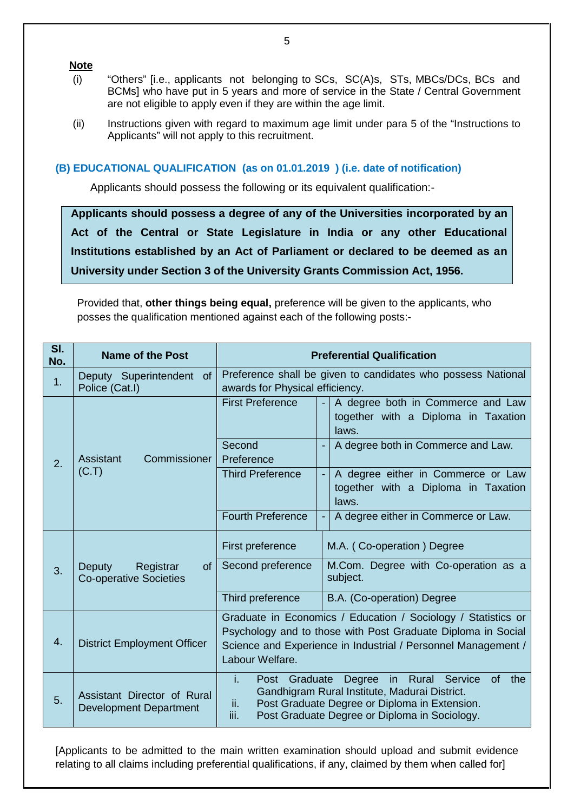#### **Note**

- (i) "Others" [i.e., applicants not belonging to SCs, SC(A)s, STs, MBCs/DCs, BCs and BCMs] who have put in 5 years and more of service in the State / Central Government are not eligible to apply even if they are within the age limit.
- (ii) Instructions given with regard to maximum age limit under para 5 of the "Instructions to Applicants" will not apply to this recruitment.

#### **(B) EDUCATIONAL QUALIFICATION (as on 01.01.2019 ) (i.e. date of notification)**

Applicants should possess the following or its equivalent qualification:-

**Applicants should possess a degree of any of the Universities incorporated by an Act of the Central or State Legislature in India or any other Educational Institutions established by an Act of Parliament or declared to be deemed as an University under Section 3 of the University Grants Commission Act, 1956.**

Provided that, **other things being equal,** preference will be given to the applicants, who posses the qualification mentioned against each of the following posts:-

| SI.<br>No. | <b>Name of the Post</b>                                                  |                                                                       | <b>Preferential Qualification</b>                                                                                                                                                              |  |  |
|------------|--------------------------------------------------------------------------|-----------------------------------------------------------------------|------------------------------------------------------------------------------------------------------------------------------------------------------------------------------------------------|--|--|
| 1.         | Deputy Superintendent of<br>Police (Cat.I)                               |                                                                       | Preference shall be given to candidates who possess National<br>awards for Physical efficiency.                                                                                                |  |  |
|            |                                                                          | <b>First Preference</b>                                               | A degree both in Commerce and Law<br>together with a Diploma in Taxation<br>laws.                                                                                                              |  |  |
| 2.         | Commissioner<br>Assistant                                                | Second<br>Preference                                                  | A degree both in Commerce and Law.                                                                                                                                                             |  |  |
|            | (C.T)                                                                    | <b>Third Preference</b>                                               | A degree either in Commerce or Law<br>together with a Diploma in Taxation<br>laws.                                                                                                             |  |  |
|            |                                                                          | <b>Fourth Preference</b>                                              | A degree either in Commerce or Law.                                                                                                                                                            |  |  |
|            |                                                                          | First preference                                                      | M.A. (Co-operation) Degree                                                                                                                                                                     |  |  |
| 3.         | Registrar<br><b>Deputy</b><br><b>of</b><br><b>Co-operative Societies</b> | Second preference<br>M.Com. Degree with Co-operation as a<br>subject. |                                                                                                                                                                                                |  |  |
|            |                                                                          | Third preference                                                      | B.A. (Co-operation) Degree                                                                                                                                                                     |  |  |
| 4.         | <b>District Employment Officer</b>                                       | Labour Welfare.                                                       | Graduate in Economics / Education / Sociology / Statistics or<br>Psychology and to those with Post Graduate Diploma in Social<br>Science and Experience in Industrial / Personnel Management / |  |  |
| 5.         | Assistant Director of Rural<br><b>Development Department</b>             | i.<br>Post Graduate<br>ii.<br>iii.                                    | of the<br>Degree<br>in Rural Service<br>Gandhigram Rural Institute, Madurai District.<br>Post Graduate Degree or Diploma in Extension.<br>Post Graduate Degree or Diploma in Sociology.        |  |  |

[Applicants to be admitted to the main written examination should upload and submit evidence relating to all claims including preferential qualifications, if any, claimed by them when called for]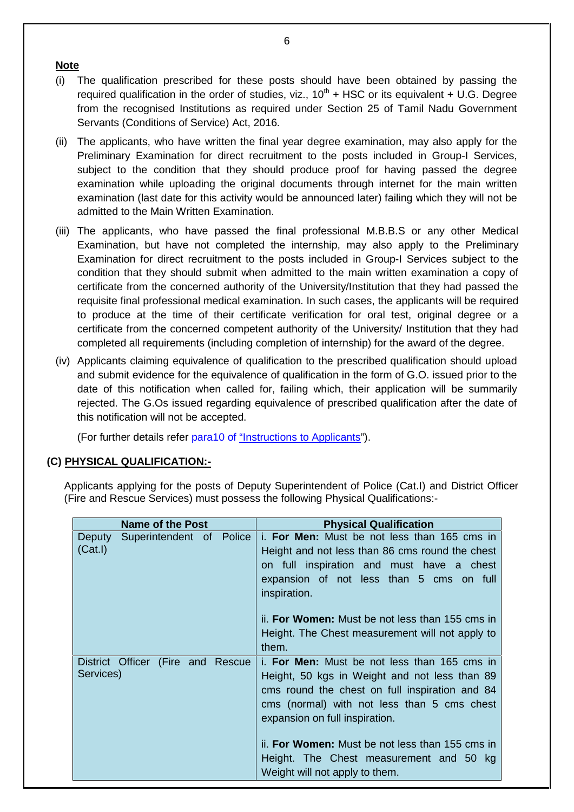#### **Note**

- (i) The qualification prescribed for these posts should have been obtained by passing the required qualification in the order of studies, viz.,  $10^{th}$  + HSC or its equivalent + U.G. Degree from the recognised Institutions as required under Section 25 of Tamil Nadu Government Servants (Conditions of Service) Act, 2016.
- (ii) The applicants, who have written the final year degree examination, may also apply for the Preliminary Examination for direct recruitment to the posts included in Group-I Services, subject to the condition that they should produce proof for having passed the degree examination while uploading the original documents through internet for the main written examination (last date for this activity would be announced later) failing which they will not be admitted to the Main Written Examination.
- (iii) The applicants, who have passed the final professional M.B.B.S or any other Medical Examination, but have not completed the internship, may also apply to the Preliminary Examination for direct recruitment to the posts included in Group-I Services subject to the condition that they should submit when admitted to the main written examination a copy of certificate from the concerned authority of the University/Institution that they had passed the requisite final professional medical examination. In such cases, the applicants will be required to produce at the time of their certificate verification for oral test, original degree or a certificate from the concerned competent authority of the University/ Institution that they had completed all requirements (including completion of internship) for the award of the degree.
- (iv) Applicants claiming equivalence of qualification to the prescribed qualification should upload and submit evidence for the equivalence of qualification in the form of G.O. issued prior to the date of this notification when called for, failing which, their application will be summarily rejected. The G.Os issued regarding equivalence of prescribed qualification after the date of this notification will not be accepted.

(For further details refer para10 of "Instructions to Applicants").

## **(C) PHYSICAL QUALIFICATION:-**

Applicants applying for the posts of Deputy Superintendent of Police (Cat.I) and District Officer (Fire and Rescue Services) must possess the following Physical Qualifications:-

| <b>Name of the Post</b>                   | <b>Physical Qualification</b>                            |
|-------------------------------------------|----------------------------------------------------------|
| Superintendent of Police<br><b>Deputy</b> | i. For Men: Must be not less than 165 cms in             |
| (Cat.1)                                   | Height and not less than 86 cms round the chest          |
|                                           | on full inspiration and must have a chest                |
|                                           | expansion of not less than 5 cms on full<br>inspiration. |
|                                           | ii. For Women: Must be not less than 155 cms in          |
|                                           | Height. The Chest measurement will not apply to          |
|                                           | them.                                                    |
| District Officer (Fire and Rescue         | i. For Men: Must be not less than 165 cms in             |
| Services)                                 | Height, 50 kgs in Weight and not less than 89            |
|                                           | cms round the chest on full inspiration and 84           |
|                                           | cms (normal) with not less than 5 cms chest              |
|                                           | expansion on full inspiration.                           |
|                                           |                                                          |
|                                           | ii. For Women: Must be not less than 155 cms in          |
|                                           | Height. The Chest measurement and 50 kg                  |
|                                           | Weight will not apply to them.                           |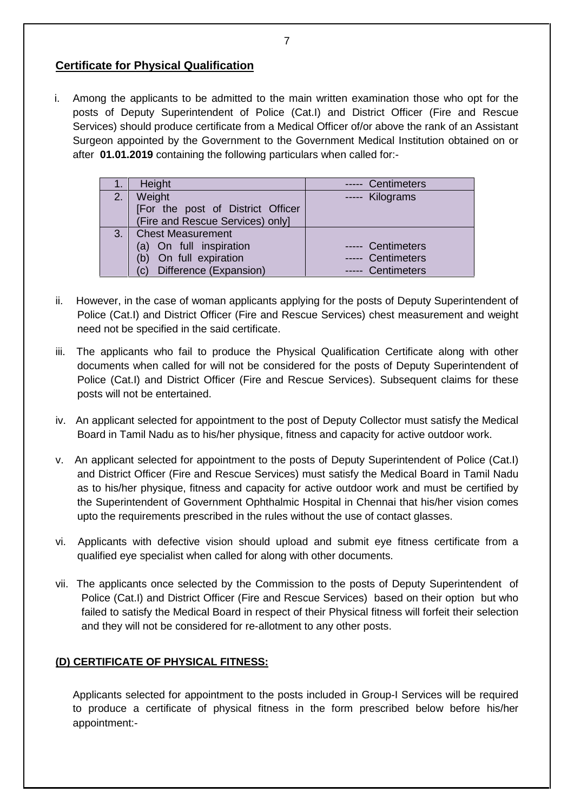## **Certificate for Physical Qualification**

i. Among the applicants to be admitted to the main written examination those who opt for the posts of Deputy Superintendent of Police (Cat.I) and District Officer (Fire and Rescue Services) should produce certificate from a Medical Officer of/or above the rank of an Assistant Surgeon appointed by the Government to the Government Medical Institution obtained on or after **01.01.2019** containing the following particulars when called for:-

|    | Height                                  | ----- Centimeters |
|----|-----------------------------------------|-------------------|
| 2. | Weight                                  | ----- Kilograms   |
|    | [For the post of District Officer       |                   |
|    | (Fire and Rescue Services) only]        |                   |
| 3. | <b>Chest Measurement</b>                |                   |
|    | (a) On full inspiration                 | ----- Centimeters |
|    | (b) On full expiration                  | ----- Centimeters |
|    | Difference (Expansion)<br>$\mathcal{C}$ | ----- Centimeters |

- ii. However, in the case of woman applicants applying for the posts of Deputy Superintendent of Police (Cat.I) and District Officer (Fire and Rescue Services) chest measurement and weight need not be specified in the said certificate.
- iii. The applicants who fail to produce the Physical Qualification Certificate along with other documents when called for will not be considered for the posts of Deputy Superintendent of Police (Cat.I) and District Officer (Fire and Rescue Services). Subsequent claims for these posts will not be entertained.
- iv. An applicant selected for appointment to the post of Deputy Collector must satisfy the Medical Board in Tamil Nadu as to his/her physique, fitness and capacity for active outdoor work.
- v. An applicant selected for appointment to the posts of Deputy Superintendent of Police (Cat.I) and District Officer (Fire and Rescue Services) must satisfy the Medical Board in Tamil Nadu as to his/her physique, fitness and capacity for active outdoor work and must be certified by the Superintendent of Government Ophthalmic Hospital in Chennai that his/her vision comes upto the requirements prescribed in the rules without the use of contact glasses.
- vi. Applicants with defective vision should upload and submit eye fitness certificate from a qualified eye specialist when called for along with other documents.
- vii. The applicants once selected by the Commission to the posts of Deputy Superintendent of Police (Cat.I) and District Officer (Fire and Rescue Services) based on their option but who failed to satisfy the Medical Board in respect of their Physical fitness will forfeit their selection and they will not be considered for re-allotment to any other posts.

## **(D) CERTIFICATE OF PHYSICAL FITNESS:**

Applicants selected for appointment to the posts included in Group-I Services will be required to produce a certificate of physical fitness in the form prescribed below before his/her appointment:-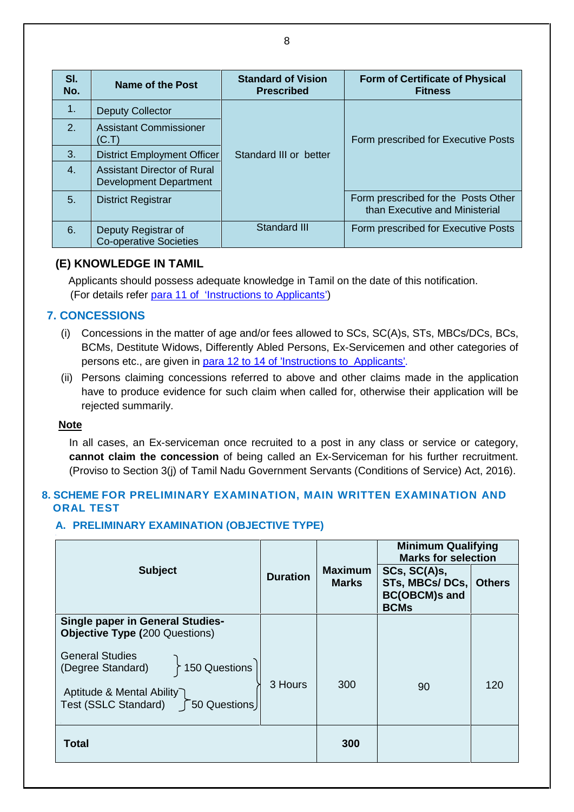| SI.<br>No.     | Name of the Post                                             | <b>Standard of Vision</b><br><b>Prescribed</b> | <b>Form of Certificate of Physical</b><br><b>Fitness</b>              |
|----------------|--------------------------------------------------------------|------------------------------------------------|-----------------------------------------------------------------------|
| 1.             | <b>Deputy Collector</b>                                      |                                                |                                                                       |
| 2.             | <b>Assistant Commissioner</b><br>(C.T)                       |                                                | Form prescribed for Executive Posts                                   |
| 3.             | <b>District Employment Officer</b>                           | Standard III or better                         |                                                                       |
| 4.             | <b>Assistant Director of Rural</b><br>Development Department |                                                |                                                                       |
| 5 <sub>1</sub> | <b>District Registrar</b>                                    |                                                | Form prescribed for the Posts Other<br>than Executive and Ministerial |
| 6.             | Deputy Registrar of<br><b>Co-operative Societies</b>         | Standard III                                   | Form prescribed for Executive Posts                                   |

## **(E) KNOWLEDGE IN TAMIL**

Applicants should possess adequate knowledge in Tamil on the date of this notification. (For details refer para 11 of 'Instructions to Applicants')

## **7. CONCESSIONS**

- (i) Concessions in the matter of age and/or fees allowed to SCs, SC(A)s, STs, MBCs/DCs, BCs, BCMs, Destitute Widows, Differently Abled Persons, Ex-Servicemen and other categories of persons etc., are given in para 12 to 14 of 'Instructions to Applicants'.
- (ii) Persons claiming concessions referred to above and other claims made in the application have to produce evidence for such claim when called for, otherwise their application will be rejected summarily.

#### **Note**

In all cases, an Ex-serviceman once recruited to a post in any class or service or category, **cannot claim the concession** of being called an Ex-Serviceman for his further recruitment. (Proviso to Section 3(j) of Tamil Nadu Government Servants (Conditions of Service) Act, 2016).

## **8. SCHEME FOR PRELIMINARY EXAMINATION, MAIN WRITTEN EXAMINATION AND ORAL TEST**

## **A. PRELIMINARY EXAMINATION (OBJECTIVE TYPE)**

|                                                                                                                                  |                 |                                | <b>Minimum Qualifying</b><br><b>Marks for selection</b>               |               |  |
|----------------------------------------------------------------------------------------------------------------------------------|-----------------|--------------------------------|-----------------------------------------------------------------------|---------------|--|
| <b>Subject</b>                                                                                                                   | <b>Duration</b> | <b>Maximum</b><br><b>Marks</b> | SCs, SC(A)s,<br>STs, MBCs/DCs,<br><b>BC(OBCM)s and</b><br><b>BCMs</b> | <b>Others</b> |  |
| <b>Single paper in General Studies-</b><br><b>Objective Type (200 Questions)</b>                                                 |                 |                                |                                                                       |               |  |
| <b>General Studies</b><br>150 Questions<br>(Degree Standard)<br>Aptitude & Mental Ability<br>Test (SSLC Standard) [50 Questions] | 3 Hours         | 300                            | 90                                                                    | 120           |  |
| Total                                                                                                                            |                 | 300                            |                                                                       |               |  |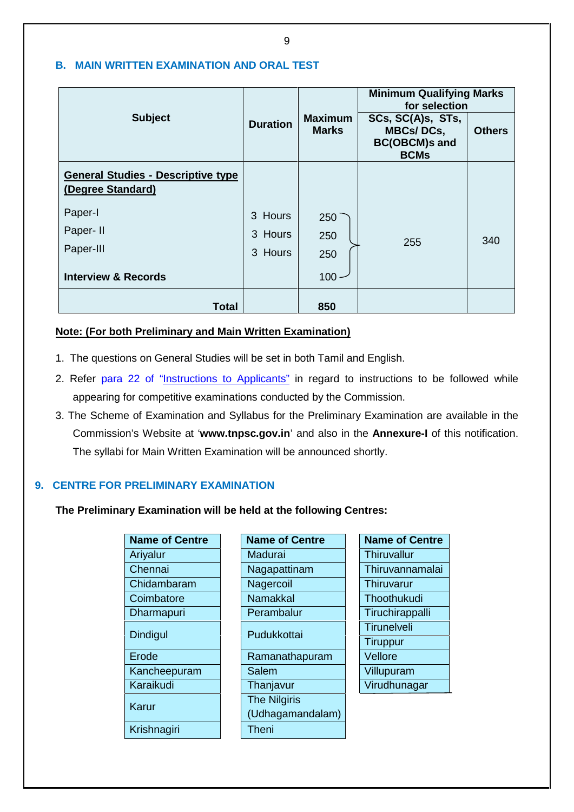|                                                                |                                                   |         | <b>Minimum Qualifying Marks</b><br>for selection                             |               |
|----------------------------------------------------------------|---------------------------------------------------|---------|------------------------------------------------------------------------------|---------------|
| <b>Subject</b>                                                 | <b>Maximum</b><br><b>Duration</b><br><b>Marks</b> |         | SCs, SC(A)s, STs,<br><b>MBCs/DCs,</b><br><b>BC(OBCM)s and</b><br><b>BCMs</b> | <b>Others</b> |
| <b>General Studies - Descriptive type</b><br>(Degree Standard) |                                                   |         |                                                                              |               |
| Paper-I                                                        | 3 Hours                                           | $250^-$ |                                                                              |               |
| Paper-II                                                       | 3 Hours                                           | 250     | 255                                                                          | 340           |
| Paper-III                                                      | 3 Hours                                           | 250     |                                                                              |               |
| <b>Interview &amp; Records</b>                                 |                                                   | $100 -$ |                                                                              |               |
| <b>Total</b>                                                   |                                                   | 850     |                                                                              |               |

## **B. MAIN WRITTEN EXAMINATION AND ORAL TEST**

## **Note: (For both Preliminary and Main Written Examination)**

- 1. The questions on General Studies will be set in both Tamil and English.
- 2. Refer para 22 of "Instructions to Applicants" in regard to instructions to be followed while appearing for competitive examinations conducted by the Commission.
- 3. The Scheme of Examination and Syllabus for the Preliminary Examination are available in the Commission's Website at '**www.tnpsc.gov.in**' and also in the **Annexure-I** of this notification. The syllabi for Main Written Examination will be announced shortly.

## **9. CENTRE FOR PRELIMINARY EXAMINATION**

**The Preliminary Examination will be held at the following Centres:**

| <b>Name of Centre</b> | <b>Name of Centre</b> | <b>Name of Centre</b> |
|-----------------------|-----------------------|-----------------------|
| Ariyalur              | Madurai               | <b>Thiruvallur</b>    |
| Chennai               | Nagapattinam          | Thiruvannamalai       |
| Chidambaram           | Nagercoil             | Thiruvarur            |
| Coimbatore            | <b>Namakkal</b>       | Thoothukudi           |
| <b>Dharmapuri</b>     | Perambalur            | Tiruchirappalli       |
| <b>Dindigul</b>       | Pudukkottai           | <b>Tirunelveli</b>    |
|                       |                       | <b>Tiruppur</b>       |
| Erode                 | Ramanathapuram        | Vellore               |
| Kancheepuram          | Salem                 | Villupuram            |
| Karaikudi             | Thanjavur             | Virudhunagar          |
| Karur                 | <b>The Nilgiris</b>   |                       |
|                       | (Udhagamandalam)      |                       |
| Krishnagiri           | <b>Theni</b>          |                       |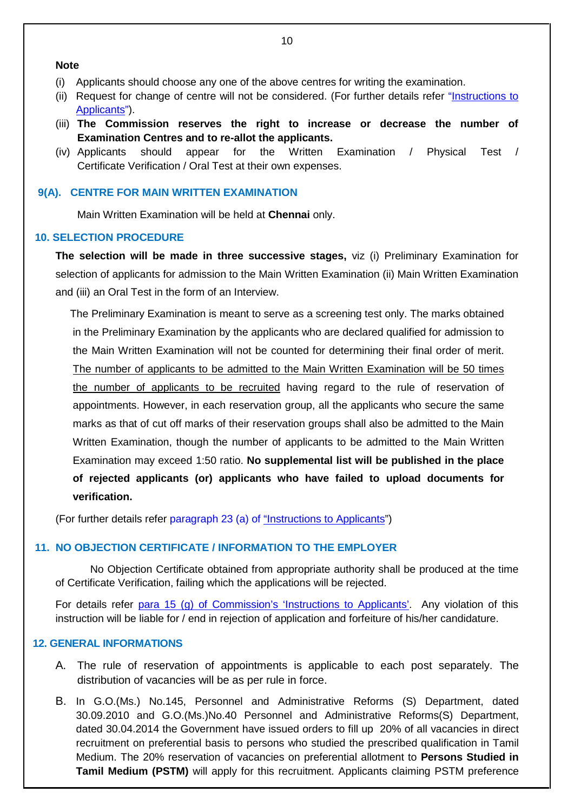#### **Note**

- (i) Applicants should choose any one of the above centres for writing the examination.
- (ii) Request for change of centre will not be considered. (For further details refer "Instructions to Applicants").
- (iii) **The Commission reserves the right to increase or decrease the number of Examination Centres and to re-allot the applicants.**
- (iv) Applicants should appear for the Written Examination / Physical Test / Certificate Verification / Oral Test at their own expenses.

#### **9(A). CENTRE FOR MAIN WRITTEN EXAMINATION**

Main Written Examination will be held at **Chennai** only.

## **10. SELECTION PROCEDURE**

**The selection will be made in three successive stages,** viz (i) Preliminary Examination for selection of applicants for admission to the Main Written Examination (ii) Main Written Examination and (iii) an Oral Test in the form of an Interview.

The Preliminary Examination is meant to serve as a screening test only. The marks obtained in the Preliminary Examination by the applicants who are declared qualified for admission to the Main Written Examination will not be counted for determining their final order of merit. The number of applicants to be admitted to the Main Written Examination will be 50 times the number of applicants to be recruited having regard to the rule of reservation of appointments. However, in each reservation group, all the applicants who secure the same marks as that of cut off marks of their reservation groups shall also be admitted to the Main Written Examination, though the number of applicants to be admitted to the Main Written Examination may exceed 1:50 ratio. **No supplemental list will be published in the place of rejected applicants (or) applicants who have failed to upload documents for verification.**

(For further details refer paragraph 23 (a) of "Instructions to Applicants")

#### **11. NO OBJECTION CERTIFICATE / INFORMATION TO THE EMPLOYER**

No Objection Certificate obtained from appropriate authority shall be produced at the time of Certificate Verification, failing which the applications will be rejected.

For details refer para 15 (g) of Commission's 'Instructions to Applicants'. Any violation of this instruction will be liable for / end in rejection of application and forfeiture of his/her candidature.

#### **12. GENERAL INFORMATIONS**

- A. The rule of reservation of appointments is applicable to each post separately. The distribution of vacancies will be as per rule in force.
- B. In G.O.(Ms.) No.145, Personnel and Administrative Reforms (S) Department, dated 30.09.2010 and G.O.(Ms.)No.40 Personnel and Administrative Reforms(S) Department, dated 30.04.2014 the Government have issued orders to fill up 20% of all vacancies in direct recruitment on preferential basis to persons who studied the prescribed qualification in Tamil Medium. The 20% reservation of vacancies on preferential allotment to **Persons Studied in Tamil Medium (PSTM)** will apply for this recruitment. Applicants claiming PSTM preference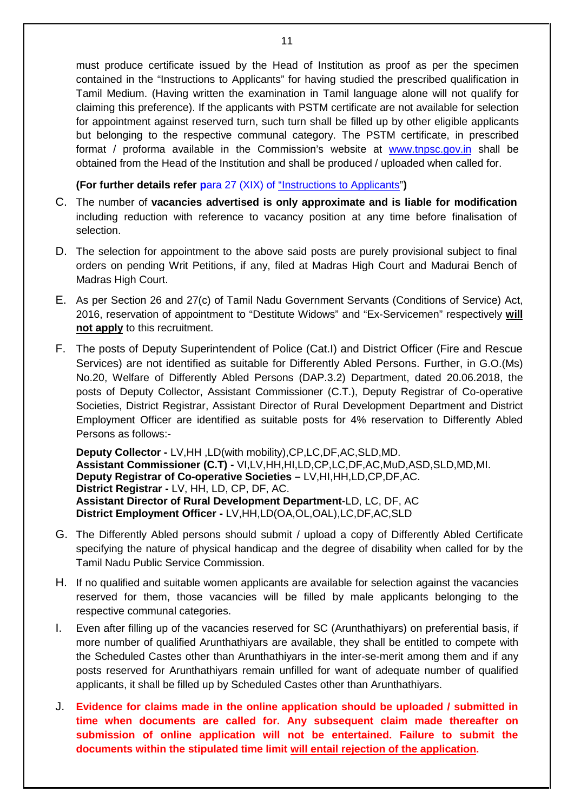must produce certificate issued by the Head of Institution as proof as per the specimen contained in the "Instructions to Applicants" for having studied the prescribed qualification in Tamil Medium. (Having written the examination in Tamil language alone will not qualify for claiming this preference). If the applicants with PSTM certificate are not available for selection for appointment against reserved turn, such turn shall be filled up by other eligible applicants but belonging to the respective communal category. The PSTM certificate, in prescribed format / proforma available in the Commission's website at www.tnpsc.gov.in shall be obtained from the Head of the Institution and shall be produced / uploaded when called for.

**(For further details refer p**ara 27 (XIX) of "Instructions to Applicants"**)**

- C. The number of **vacancies advertised is only approximate and is liable for modification** including reduction with reference to vacancy position at any time before finalisation of selection.
- D. The selection for appointment to the above said posts are purely provisional subject to final orders on pending Writ Petitions, if any, filed at Madras High Court and Madurai Bench of Madras High Court.
- E. As per Section 26 and 27(c) of Tamil Nadu Government Servants (Conditions of Service) Act, 2016, reservation of appointment to "Destitute Widows" and "Ex-Servicemen" respectively **will not apply** to this recruitment.
- F. The posts of Deputy Superintendent of Police (Cat.I) and District Officer (Fire and Rescue Services) are not identified as suitable for Differently Abled Persons. Further, in G.O.(Ms) No.20, Welfare of Differently Abled Persons (DAP.3.2) Department, dated 20.06.2018, the posts of Deputy Collector, Assistant Commissioner (C.T.), Deputy Registrar of Co-operative Societies, District Registrar, Assistant Director of Rural Development Department and District Employment Officer are identified as suitable posts for 4% reservation to Differently Abled Persons as follows:-

**Deputy Collector -** LV,HH ,LD(with mobility),CP,LC,DF,AC,SLD,MD. **Assistant Commissioner (C.T) -** VI,LV,HH,HI,LD,CP,LC,DF,AC,MuD,ASD,SLD,MD,MI. **Deputy Registrar of Co-operative Societies –** LV,HI,HH,LD,CP,DF,AC. **District Registrar -** LV, HH, LD, CP, DF, AC. **Assistant Director of Rural Development Department**-LD, LC, DF, AC **District Employment Officer -** LV,HH,LD(OA,OL,OAL),LC,DF,AC,SLD

- G. The Differently Abled persons should submit / upload a copy of Differently Abled Certificate specifying the nature of physical handicap and the degree of disability when called for by the Tamil Nadu Public Service Commission.
- H. If no qualified and suitable women applicants are available for selection against the vacancies reserved for them, those vacancies will be filled by male applicants belonging to the respective communal categories.
- I. Even after filling up of the vacancies reserved for SC (Arunthathiyars) on preferential basis, if more number of qualified Arunthathiyars are available, they shall be entitled to compete with the Scheduled Castes other than Arunthathiyars in the inter-se-merit among them and if any posts reserved for Arunthathiyars remain unfilled for want of adequate number of qualified applicants, it shall be filled up by Scheduled Castes other than Arunthathiyars.
- J. **Evidence for claims made in the online application should be uploaded / submitted in time when documents are called for. Any subsequent claim made thereafter on submission of online application will not be entertained. Failure to submit the documents within the stipulated time limit will entail rejection of the application.**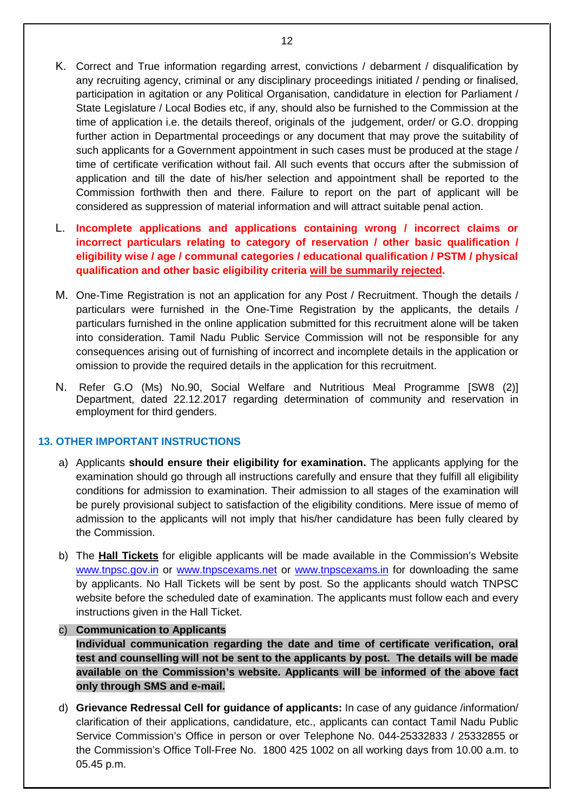- K. Correct and True information regarding arrest, convictions / debarment / disqualification by any recruiting agency, criminal or any disciplinary proceedings initiated / pending or finalised, participation in agitation or any Political Organisation, candidature in election for Parliament / State Legislature / Local Bodies etc, if any, should also be furnished to the Commission at the time of application i.e. the details thereof, originals of the judgement, order/ or G.O. dropping further action in Departmental proceedings or any document that may prove the suitability of such applicants for a Government appointment in such cases must be produced at the stage / time of certificate verification without fail. All such events that occurs after the submission of application and till the date of his/her selection and appointment shall be reported to the Commission forthwith then and there. Failure to report on the part of applicant will be considered as suppression of material information and will attract suitable penal action.
- L. **Incomplete applications and applications containing wrong / incorrect claims or incorrect particulars relating to category of reservation / other basic qualification / eligibility wise / age / communal categories / educational qualification / PSTM / physical qualification and other basic eligibility criteria will be summarily rejected.**
- M. One-Time Registration is not an application for any Post / Recruitment. Though the details / particulars were furnished in the One-Time Registration by the applicants, the details / particulars furnished in the online application submitted for this recruitment alone will be taken into consideration. Tamil Nadu Public Service Commission will not be responsible for any consequences arising out of furnishing of incorrect and incomplete details in the application or omission to provide the required details in the application for this recruitment.
- N. Refer G.O (Ms) No.90, Social Welfare and Nutritious Meal Programme [SW8 (2)] Department, dated 22.12.2017 regarding determination of community and reservation in employment for third genders.

#### **13. OTHER IMPORTANT INSTRUCTIONS**

- a) Applicants **should ensure their eligibility for examination.** The applicants applying for the examination should go through all instructions carefully and ensure that they fulfill all eligibility conditions for admission to examination. Their admission to all stages of the examination will be purely provisional subject to satisfaction of the eligibility conditions. Mere issue of memo of admission to the applicants will not imply that his/her candidature has been fully cleared by the Commission.
- b) The **Hall Tickets** for eligible applicants will be made available in the Commission's Website www.tnpsc.gov.in or www.tnpscexams.net or www.tnpscexams.in for downloading the same by applicants. No Hall Tickets will be sent by post. So the applicants should watch TNPSC website before the scheduled date of examination. The applicants must follow each and every instructions given in the Hall Ticket.

## c) **Communication to Applicants Individual communication regarding the date and time of certificate verification, oral test and counselling will not be sent to the applicants by post. The details will be made available on the Commission's website. Applicants will be informed of the above fact only through SMS and e-mail.**

d) **Grievance Redressal Cell for guidance of applicants:** In case of any guidance /information/ clarification of their applications, candidature, etc., applicants can contact Tamil Nadu Public Service Commission's Office in person or over Telephone No. 044-25332833 / 25332855 or the Commission's Office Toll-Free No. 1800 425 1002 on all working days from 10.00 a.m. to 05.45 p.m.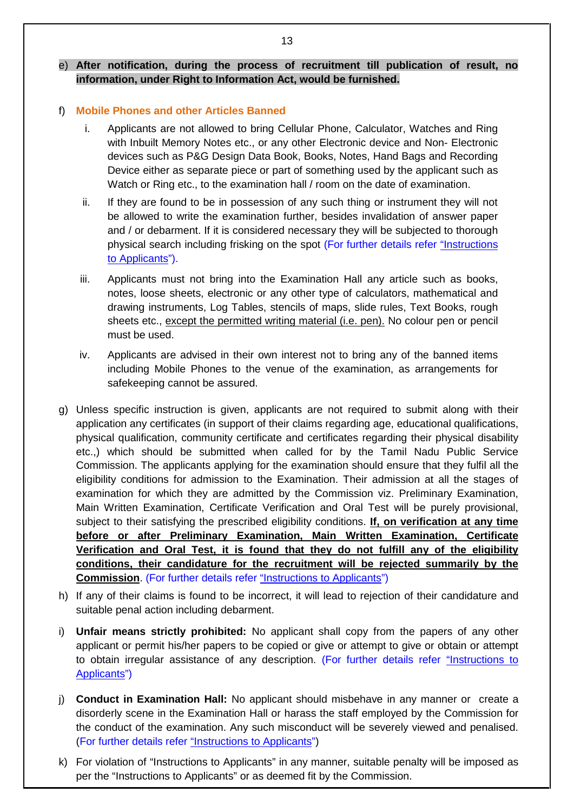## e) **After notification, during the process of recruitment till publication of result, no information, under Right to Information Act, would be furnished.**

### f) **Mobile Phones and other Articles Banned**

- i. Applicants are not allowed to bring Cellular Phone, Calculator, Watches and Ring with Inbuilt Memory Notes etc., or any other Electronic device and Non- Electronic devices such as P&G Design Data Book, Books, Notes, Hand Bags and Recording Device either as separate piece or part of something used by the applicant such as Watch or Ring etc., to the examination hall / room on the date of examination.
- ii. If they are found to be in possession of any such thing or instrument they will not be allowed to write the examination further, besides invalidation of answer paper and / or debarment. If it is considered necessary they will be subjected to thorough physical search including frisking on the spot (For further details refer "Instructions to Applicants").
- iii. Applicants must not bring into the Examination Hall any article such as books, notes, loose sheets, electronic or any other type of calculators, mathematical and drawing instruments, Log Tables, stencils of maps, slide rules, Text Books, rough sheets etc., except the permitted writing material (i.e. pen). No colour pen or pencil must be used.
- iv. Applicants are advised in their own interest not to bring any of the banned items including Mobile Phones to the venue of the examination, as arrangements for safekeeping cannot be assured.
- g) Unless specific instruction is given, applicants are not required to submit along with their application any certificates (in support of their claims regarding age, educational qualifications, physical qualification, community certificate and certificates regarding their physical disability etc.,) which should be submitted when called for by the Tamil Nadu Public Service Commission. The applicants applying for the examination should ensure that they fulfil all the eligibility conditions for admission to the Examination. Their admission at all the stages of examination for which they are admitted by the Commission viz. Preliminary Examination, Main Written Examination, Certificate Verification and Oral Test will be purely provisional, subject to their satisfying the prescribed eligibility conditions. **If, on verification at any time before or after Preliminary Examination, Main Written Examination, Certificate Verification and Oral Test, it is found that they do not fulfill any of the eligibility conditions, their candidature for the recruitment will be rejected summarily by the Commission**. (For further details refer "Instructions to Applicants")
- h) If any of their claims is found to be incorrect, it will lead to rejection of their candidature and suitable penal action including debarment.
- i) **Unfair means strictly prohibited:** No applicant shall copy from the papers of any other applicant or permit his/her papers to be copied or give or attempt to give or obtain or attempt to obtain irregular assistance of any description. (For further details refer "Instructions to Applicants")
- j) **Conduct in Examination Hall:** No applicant should misbehave in any manner or create a disorderly scene in the Examination Hall or harass the staff employed by the Commission for the conduct of the examination. Any such misconduct will be severely viewed and penalised. (For further details refer "Instructions to Applicants")
- k) For violation of "Instructions to Applicants" in any manner, suitable penalty will be imposed as per the "Instructions to Applicants" or as deemed fit by the Commission.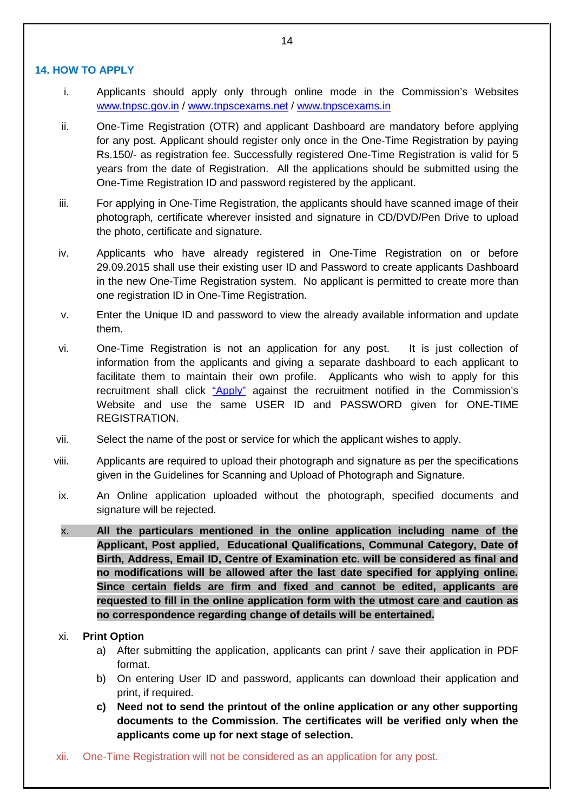## **14. HOW TO APPLY**

- i. Applicants should apply only through online mode in the Commission's Websites www.tnpsc.gov.in / www.tnpscexams.net / www.tnpscexams.in
- ii. One-Time Registration (OTR) and applicant Dashboard are mandatory before applying for any post. Applicant should register only once in the One-Time Registration by paying Rs.150/- as registration fee. Successfully registered One-Time Registration is valid for 5 years from the date of Registration. All the applications should be submitted using the One-Time Registration ID and password registered by the applicant.
- iii. For applying in One-Time Registration, the applicants should have scanned image of their photograph, certificate wherever insisted and signature in CD/DVD/Pen Drive to upload the photo, certificate and signature.
- iv. Applicants who have already registered in One-Time Registration on or before 29.09.2015 shall use their existing user ID and Password to create applicants Dashboard in the new One-Time Registration system. No applicant is permitted to create more than one registration ID in One-Time Registration.
- v. Enter the Unique ID and password to view the already available information and update them.
- vi. One-Time Registration is not an application for any post. It is just collection of information from the applicants and giving a separate dashboard to each applicant to facilitate them to maintain their own profile. Applicants who wish to apply for this recruitment shall click "Apply" against the recruitment notified in the Commission's Website and use the same USER ID and PASSWORD given for ONE-TIME REGISTRATION.
- vii. Select the name of the post or service for which the applicant wishes to apply.
- viii. Applicants are required to upload their photograph and signature as per the specifications given in the Guidelines for Scanning and Upload of Photograph and Signature.
- ix. An Online application uploaded without the photograph, specified documents and signature will be rejected.
- x. **All the particulars mentioned in the online application including name of the Applicant, Post applied, Educational Qualifications, Communal Category, Date of Birth, Address, Email ID, Centre of Examination etc. will be considered as final and no modifications will be allowed after the last date specified for applying online. Since certain fields are firm and fixed and cannot be edited, applicants are requested to fill in the online application form with the utmost care and caution as no correspondence regarding change of details will be entertained.**

#### xi. **Print Option**

- a) After submitting the application, applicants can print / save their application in PDF format.
- b) On entering User ID and password, applicants can download their application and print, if required.
- **c) Need not to send the printout of the online application or any other supporting documents to the Commission. The certificates will be verified only when the applicants come up for next stage of selection.**
- xii. One-Time Registration will not be considered as an application for any post.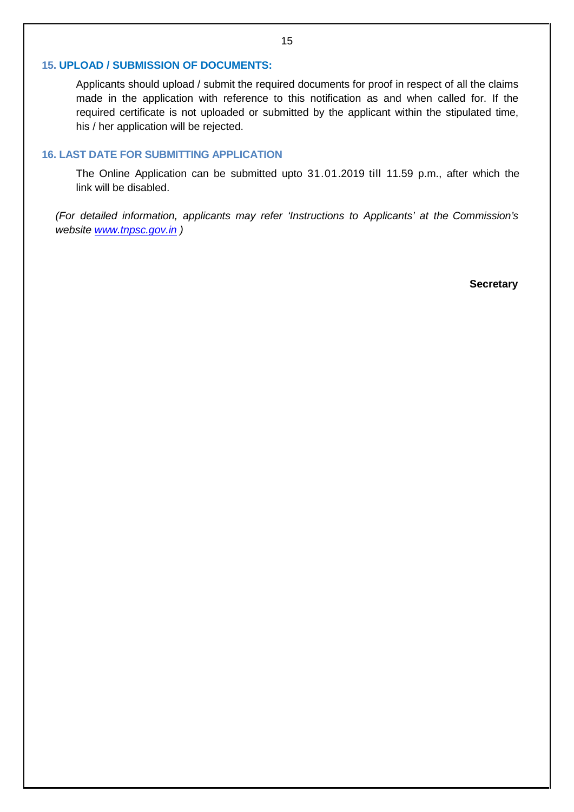#### **15. UPLOAD / SUBMISSION OF DOCUMENTS:**

Applicants should upload / submit the required documents for proof in respect of all the claims made in the application with reference to this notification as and when called for. If the required certificate is not uploaded or submitted by the applicant within the stipulated time, his / her application will be rejected.

## **16. LAST DATE FOR SUBMITTING APPLICATION**

The Online Application can be submitted upto 31.01.2019 till 11.59 p.m., after which the link will be disabled.

*(For detailed information, applicants may refer 'Instructions to Applicants' at the Commission's website www.tnpsc.gov.in )*

**Secretary**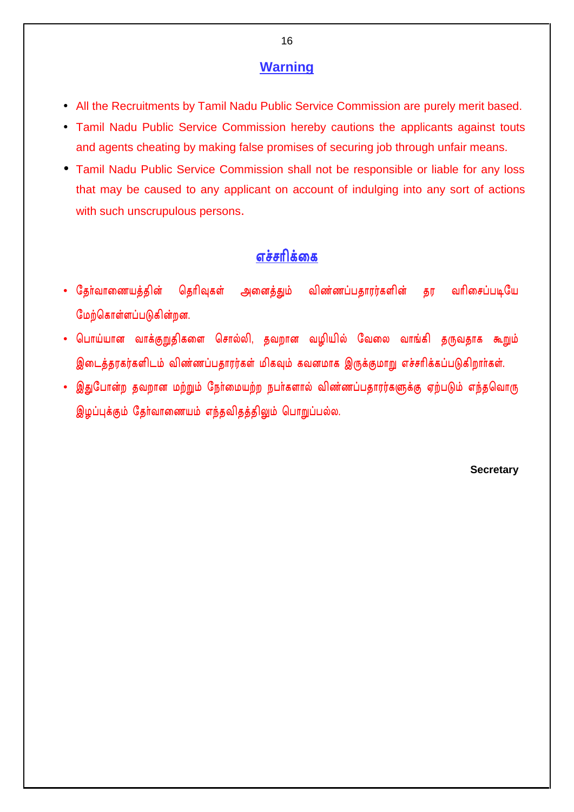## **Warning**

- All the Recruitments by Tamil Nadu Public Service Commission are purely merit based.
- Tamil Nadu Public Service Commission hereby cautions the applicants against touts and agents cheating by making false promises of securing job through unfair means.
- Tamil Nadu Public Service Commission shall not be responsible or liable for any loss that may be caused to any applicant on account of indulging into any sort of actions with such unscrupulous persons.

# **<u>எச்சரிக்கை</u>**

- தேர்வாணையத்தின் தெரிவுகள் அனைத்தும் விண்ணப்பதாரர்களின் தர வரிசைப்படியே மேற்கொள்ளப்படுகின்றன.
- பொய்யான வாக்குறுதிகளை சொல்லி, தவறான வழியில் வேலை வாங்கி தருவதாக கூறும் இடைத்தரகர்களிடம் விண்ணப்பதாரர்கள் மிகவும் கவனமாக இருக்குமாறு எச்சரிக்கப்படுகிறார்கள்.
- இதுபோன்ற தவறான மற்றும் நேர்மையற்ற நபர்களால் விண்ணப்பதாரர்களுக்கு ஏற்படும் எந்தவொரு | இடைத்தரகர்களிடம் விண்ணப்பதாரர்கள் மிகவும் கவனமாக இ<br>இதுபோன்ற தவறான மற்றும் நேர்மையற்ற நபர்களால் விண்ண<br>இழப்புக்கும் தேர்வாணையம் எந்தவிதத்திலும் பொறுப்பல்ல.

**Secretary**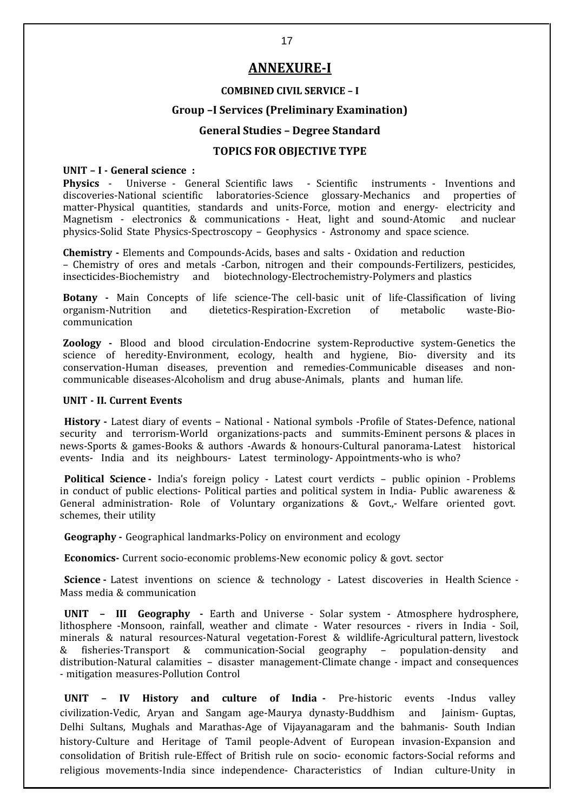## **ANNEXURE-I**

#### **COMBINED CIVIL SERVICE – I**

#### **Group –I Services (Preliminary Examination)**

#### **General Studies – Degree Standard**

#### **TOPICS FOR OBJECTIVE TYPE**

#### **UNIT – I ‐General science :**

**Physics** ‐ Universe ‐ General Scientific laws ‐ Scientific instruments ‐ Inventions and discoveries‐National scientific laboratories‐Science glossary‐Mechanics and properties of matter‐Physical quantities, standards and units‐Force, motion and energy‐ electricity and Magnetism - electronics & communications - Heat, light and sound-Atomic and nuclear physics‐Solid State Physics‐Spectroscopy – Geophysics ‐Astronomy and space science.

**Chemistry ‐** Elements and Compounds‐Acids, bases and salts ‐ Oxidation and reduction – Chemistry of ores and metals ‐Carbon, nitrogen and their compounds‐Fertilizers, pesticides, insecticides‐Biochemistry and biotechnology‐Electrochemistry‐Polymers and plastics

**Botany** • Main Concepts of life science-The cell-basic unit of life-Classification of living organism-Nutrition and dietetics-Respiration-Excretion of metabolic waste-Biodietetics‐Respiration‐Excretion of communication

**Zoology ‐** Blood and blood circulation‐Endocrine system‐Reproductive system‐Genetics the science of heredity-Environment, ecology, health and hygiene, Bio- diversity and its conservation‐Human diseases, prevention and remedies‐Communicable diseases and non‐ communicable diseases‐Alcoholism and drug abuse‐Animals, plants and human life.

#### **UNIT ‐ II. Current Events**

**History ‐** Latest diary of events – National ‐ National symbols ‐Profile of States‐Defence, national security and terrorism-World organizations-pacts and summits-Eminent persons & places in news‐Sports & games‐Books & authors ‐Awards & honours‐Cultural panorama‐Latest historical events‐ India and its neighbours‐ Latest terminology‐ Appointments‐who is who?

**Political Science ‐** India's foreign policy ‐ Latest court verdicts – public opinion ‐ Problems in conduct of public elections- Political parties and political system in India- Public awareness & General administration- Role of Voluntary organizations & Govt..- Welfare oriented govt. schemes, their utility

**Geography ‐** Geographical landmarks‐Policy on environment and ecology

**Economics‐** Current socio‐economic problems‐New economic policy & govt. sector

Science - Latest inventions on science & technology - Latest discoveries in Health Science -Mass media & communication

**UNIT – III Geography ‐** Earth and Universe ‐ Solar system ‐ Atmosphere hydrosphere, lithosphere ‐Monsoon, rainfall, weather and climate ‐ Water resources ‐ rivers in India ‐ Soil, minerals & natural resources-Natural vegetation-Forest & wildlife-Agricultural pattern, livestock<br>& fisheries-Transport & communication-Social geography – population-density and fisheries-Transport & communication-Social geography – population-density distribution‐Natural calamities – disaster management‐Climate change ‐ impact and consequences ‐ mitigation measures‐Pollution Control

**UNIT – IV History and culture of India ‐** Pre‐historic events ‐Indus valley civilization‐Vedic, Aryan and Sangam age‐Maurya dynasty‐Buddhism and Jainism‐ Guptas, Delhi Sultans, Mughals and Marathas-Age of Vijayanagaram and the bahmanis- South Indian history‐Culture and Heritage of Tamil people‐Advent of European invasion‐Expansion and consolidation of British rule‐Effect of British rule on socio‐ economic factors‐Social reforms and religious movements‐India since independence‐ Characteristics of Indian culture‐Unity in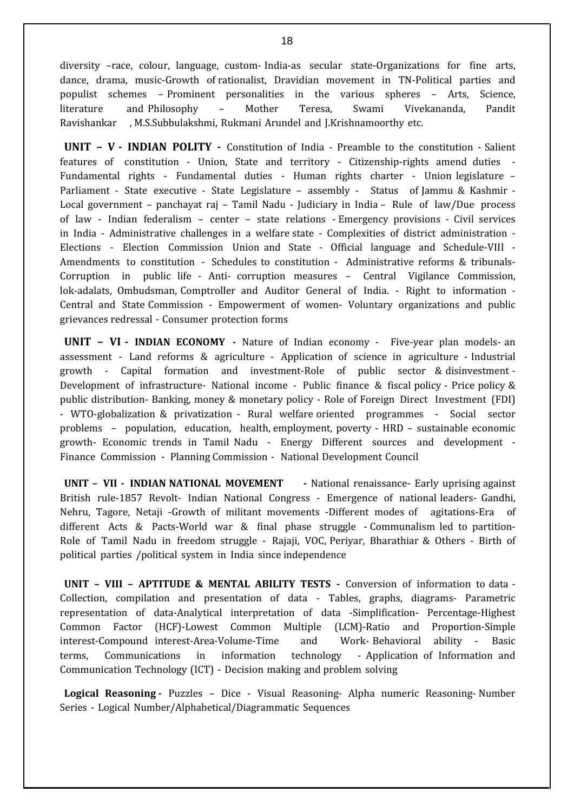diversity –race, colour, language, custom‐ India‐as secular state‐Organizations for fine arts, dance, drama, music‐Growth of rationalist, Dravidian movement in TN‐Political parties and populist schemes – Prominent personalities in the various spheres – Arts, Science, literature and Philosophy – Mother Teresa, Swami Vivekananda, Pandit Ravishankar , M.S.Subbulakshmi, Rukmani Arundel and J.Krishnamoorthy etc.

**UNIT – V ‐ INDIAN POLITY ‐** Constitution of India ‐ Preamble to the constitution ‐ Salient features of constitution - Union, State and territory - Citizenship-rights amend duties Fundamental rights ‐ Fundamental duties ‐ Human rights charter ‐ Union legislature – Parliament - State executive - State Legislature – assembly - Status of Jammu & Kashmir -Local government – panchayat raj – Tamil Nadu ‐ Judiciary in India – Rule of law/Due process of law ‐ Indian federalism – center – state relations ‐ Emergency provisions ‐ Civil services in India - Administrative challenges in a welfare state - Complexities of district administration -Elections ‐ Election Commission Union and State ‐Official language and Schedule‐VIII ‐ Amendments to constitution ‐ Schedules to constitution ‐ Administrative reforms & tribunals‐ Corruption in public life ‐ Anti‐ corruption measures – Central Vigilance Commission, lok-adalats, Ombudsman, Comptroller and Auditor General of India. - Right to information -Central and State Commission ‐ Empowerment of women‐ Voluntary organizations and public grievances redressal ‐ Consumer protection forms

**UNIT – VI • INDIAN ECONOMY •** Nature of Indian economy • Five-year plan models an assessment ‐ Land reforms & agriculture ‐ Application of science in agriculture ‐ Industrial growth ‐ Capital formation and investment‐Role of public sector & disinvestment ‐ Development of infrastructure National income - Public finance & fiscal policy - Price policy & public distribution‐ Banking, money & monetary policy ‐ Role of Foreign Direct Investment (FDI) ‐ WTO‐globalization & privatization ‐ Rural welfare oriented programmes ‐ Social sector problems – population, education, health, employment, poverty ‐ HRD – sustainable economic growth‐ Economic trends in Tamil Nadu ‐ Energy Different sources and development ‐ Finance Commission ‐ Planning Commission ‐ National Development Council

**UNIT – VII ‐ INDIAN NATIONAL MOVEMENT ‐**National renaissance‐ Early uprising against British rule-1857 Revolt- Indian National Congress - Emergence of national leaders- Gandhi, Nehru, Tagore, Netaji ‐Growth of militant movements ‐Different modes of agitations‐Era of different Acts & Pacts‐World war & final phase struggle ‐ Communalism led to partition‐ Role of Tamil Nadu in freedom struggle - Rajaji, VOC, Periyar, Bharathiar & Others - Birth of political parties /political system in India since independence

**UNIT –VIII – APTITUDE & MENTAL ABILITY TESTS ‐** Conversion of information to data ‐ Collection, compilation and presentation of data ‐Tables, graphs, diagrams‐ Parametric representation of data‐Analytical interpretation of data ‐Simplification‐ Percentage‐Highest Common Factor (HCF)‐Lowest Common Multiple (LCM)‐Ratio and Proportion‐Simple interest‐Compound interest‐Area‐Volume‐Time and Work‐ Behavioral ability ‐ Basic terms. Communications in information technology ‐ Application of Information and terms, Communications in information technology ‐ Application of Information and Communication Technology (ICT) ‐ Decision making and problem solving

**Logical Reasoning ‐** Puzzles – Dice ‐ Visual Reasoning‐ Alpha numeric Reasoning‐ Number Series ‐Logical Number/Alphabetical/Diagrammatic Sequences